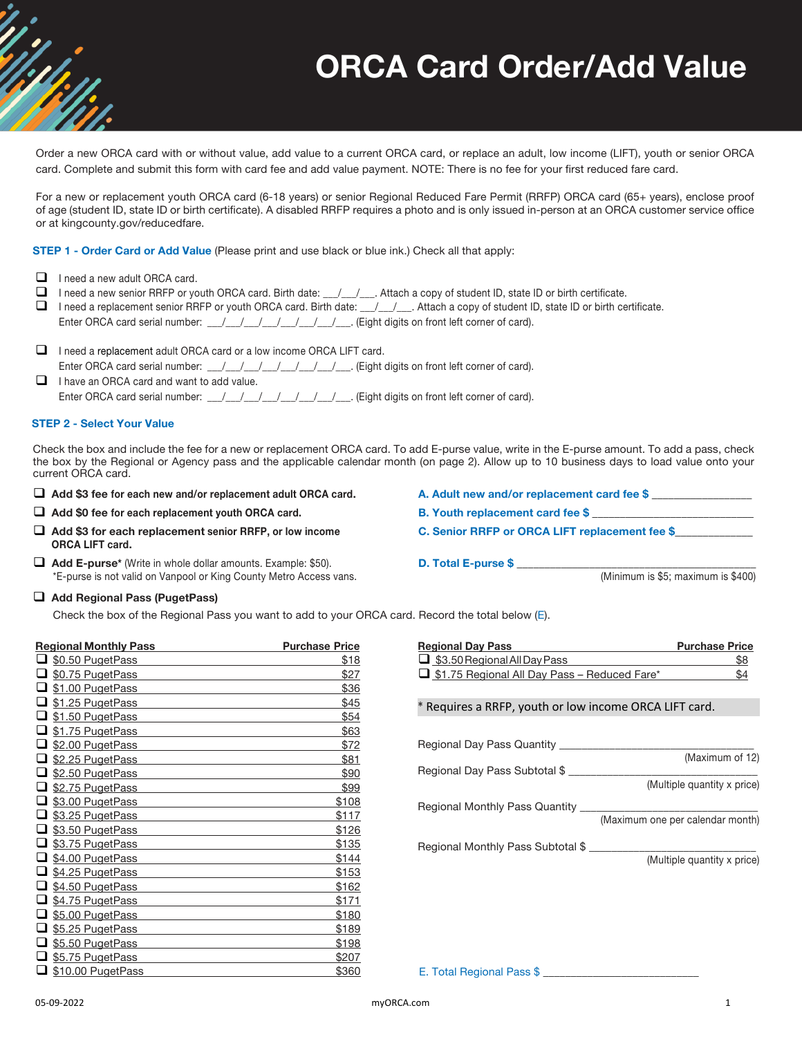# **ORCA Card Order/Add Value**

Order a new ORCA card with or without value, add value to a current ORCA card, or replace an adult, low income (LIFT), youth or senior ORCA card. Complete and submit this form with card fee and add value payment. NOTE: There is no fee for your first reduced fare card.

For a new or replacement youth ORCA card (6-18 years) or senior Regional Reduced Fare Permit (RRFP) ORCA card (65+ years), enclose proof of age (student ID, state ID or birth certificate). A disabled RRFP requires a photo and is only issued in-person at an ORCA customer service office or at kingcounty.gov/reducedfare.

**STEP 1 - Order Card or Add Value** (Please print and use black or blue ink.) Check all that apply:

- $\Box$  I need a new adult ORCA card.
- $\Box$  I need a new senior RRFP or youth ORCA card. Birth date:  $\_\_\_\_\_\_$ . Attach a copy of student ID, state ID or birth certificate.
- □ I need a replacement senior RRFP or youth ORCA card. Birth date: \_\_/\_\_/\_\_. Attach a copy of student ID, state ID or birth certificate. Enter ORCA card serial number: \_\_/\_\_/\_\_/\_\_/\_\_/\_\_/\_\_/\_\_\_. (Eight digits on front left corner of card).
- $\Box$  I need a replacement adult ORCA card or a low income ORCA LIFT card. Enter ORCA card serial number: \_\_\_/\_\_\_/\_\_\_/\_\_\_/\_\_\_/\_\_\_\_/\_\_\_\_. (Eight digits on front left corner of card).
- $\Box$  I have an ORCA card and want to add value. Enter ORCA card serial number: \_\_\_/\_\_\_/\_\_\_/\_\_\_/\_\_\_/\_\_\_/\_\_\_/\_\_\_. (Eight digits on front left corner of card).

#### **STEP 2 - Select Your Value**

Check the box and include the fee for a new or replacement ORCA card. To add E-purse value, write in the E-purse amount. To add a pass, check the box by the Regional or Agency pass and the applicable calendar month (on page 2). Allow up to 10 business days to load value onto your current ORCA card.

- □ Add \$3 fee for each new and/or replacement adult ORCA card. A. Adult new and/or replacement card fee \$
- □ Add \$0 fee for each replacement youth ORCA card. B. Youth replacement card fee \$
- **□** Add \$3 for each replacement senior RRFP, or low income **C.** Senior RRFP or ORCA LIFT replacement fee \$ **ORCA LIFT card.**
- q **Add E-purse\*** (Write in whole dollar amounts. Example: \$50). **D. Total E-purse \$** \_\_\_\_\_\_\_\_\_\_\_\_\_\_\_\_\_\_\_\_\_\_\_\_\_\_\_\_\_\_\_\_\_\_\_\_\_\_\_\_\_\_\_ \*E-purse is not valid on Vanpool or King County Metro Access vans.
- □ Add Regional Pass (PugetPass)

Check the box of the Regional Pass you want to add to your ORCA card. Record the total below (E).

|   | <b>Regional Monthly Pass</b><br><b>Purchase Price</b> |       |  |  |
|---|-------------------------------------------------------|-------|--|--|
| ❏ | \$0.50 PugetPass                                      | \$18  |  |  |
| ப | \$0.75 PugetPass                                      | \$27  |  |  |
| ❏ | \$1.00 PugetPass                                      | \$36  |  |  |
| ❏ | \$1.25 PugetPass                                      | \$45  |  |  |
| ◻ | \$1.50 PugetPass                                      | \$54  |  |  |
| □ | \$1.75 PugetPass                                      | \$63  |  |  |
| ◻ | \$2.00 PugetPass                                      | \$72  |  |  |
| □ | \$2.25 PugetPass                                      | \$81  |  |  |
| ❏ | \$2.50 PugetPass                                      | \$90  |  |  |
| ❏ | \$2.75 PugetPass                                      | \$99  |  |  |
| □ | \$3.00 PugetPass                                      | \$108 |  |  |
| □ | \$3.25 PugetPass                                      | \$117 |  |  |
| □ | \$3.50 PugetPass                                      | \$126 |  |  |
| ❏ | \$3.75 PugetPass                                      | \$135 |  |  |
| ◻ | \$4.00 PugetPass                                      | \$144 |  |  |
| ❏ | \$4.25 PugetPass                                      | \$153 |  |  |
| ◻ | \$4.50 PugetPass                                      | \$162 |  |  |
| □ | \$4.75 PugetPass                                      | \$171 |  |  |
| ◻ | \$5.00 PugetPass                                      | \$180 |  |  |
| □ | \$5.25 PugetPass                                      | \$189 |  |  |
| □ | \$5.50 PugetPass                                      | \$198 |  |  |
| ப | \$5.75 PugetPass                                      | \$207 |  |  |
|   | $\Box$ \$10.00 PugetPass                              | \$360 |  |  |

| <b>Regional Day Pass</b>                               | <b>Purchase Price</b>            |
|--------------------------------------------------------|----------------------------------|
| $\Box$ \$3.50 Regional All Day Pass                    | \$8                              |
| <b>J</b> \$1.75 Regional All Day Pass - Reduced Fare*  | \$4                              |
| * Requires a RRFP, youth or low income ORCA LIFT card. |                                  |
| Regional Day Pass Quantity                             |                                  |
| Regional Day Pass Subtotal \$                          | (Maximum of 12)                  |
|                                                        | (Multiple quantity x price)      |
| Regional Monthly Pass Quantity                         |                                  |
|                                                        | (Maximum one per calendar month) |
| Regional Monthly Pass Subtotal \$                      |                                  |
|                                                        | (Multiple quantity x price)      |

E. Total Regional Pass \$ \_\_\_\_\_\_\_\_\_\_\_\_\_\_\_\_\_\_\_\_\_\_\_\_\_\_\_\_

- 
- 
- 
-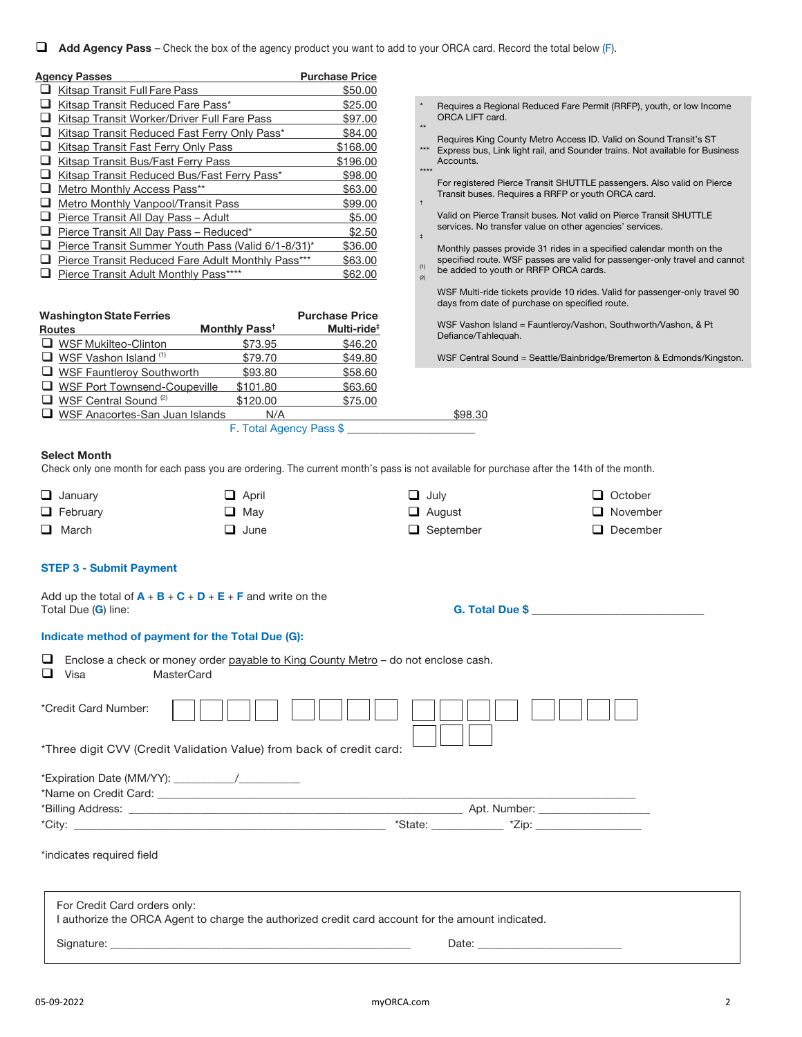**Add Agency Pass** – Check the box of the agency product you want to add to your ORCA card. Record the total below (F).

| <b>Agency Passes</b>                               | <b>Purchase Price</b> |
|----------------------------------------------------|-----------------------|
| Kitsap Transit Full Fare Pass                      | \$50.00               |
| Kitsap Transit Reduced Fare Pass*                  | \$25.00               |
| Kitsap Transit Worker/Driver Full Fare Pass        | \$97.00               |
| Kitsap Transit Reduced Fast Ferry Only Pass*       | \$84.00               |
| <b>Kitsap Transit Fast Ferry Only Pass</b>         | \$168.00              |
| Kitsap Transit Bus/Fast Ferry Pass                 | \$196.00              |
| Kitsap Transit Reduced Bus/Fast Ferry Pass*        | \$98.00               |
| Metro Monthly Access Pass**                        | \$63.00               |
| Metro Monthly Vanpool/Transit Pass                 | \$99.00               |
| Pierce Transit All Day Pass - Adult                | \$5.00                |
| Pierce Transit All Day Pass - Reduced*             | \$2.50                |
| Pierce Transit Summer Youth Pass (Valid 6/1-8/31)* | \$36.00               |
| Pierce Transit Reduced Fare Adult Monthly Pass***  | \$63.00               |
| Pierce Transit Adult Monthly Pass****              | \$62.00               |
|                                                    |                       |

| <b>Washington State Ferries</b> |                                       | <b>Purchase Price</b>     |                         |                                  |
|---------------------------------|---------------------------------------|---------------------------|-------------------------|----------------------------------|
| <b>Routes</b>                   |                                       | Monthly Pass <sup>t</sup> | Multi-ride <sup>#</sup> | <b>WSF Vashor</b><br>Defiance/Ta |
|                                 | $\Box$ WSF Mukilteo-Clinton           | \$73.95                   | \$46.20                 |                                  |
|                                 | $\Box$ WSF Vashon Island $(1)$        | \$79.70                   | \$49.80                 | <b>WSF Centra</b>                |
|                                 | WSF Fauntleroy Southworth             | \$93.80                   | \$58.60                 |                                  |
|                                 | U WSF Port Townsend-Coupeville        | \$101.80                  | \$63.60                 |                                  |
|                                 | WSF Central Sound <sup>(2)</sup>      | \$120.00                  | \$75.00                 |                                  |
|                                 | $\Box$ WSF Anacortes-San Juan Islands | N/A                       |                         | \$98,30                          |
|                                 |                                       | F. Total Agency Pass \$   |                         |                                  |

- \* \*\* Requires a Regional Reduced Fare Permit (RRFP), youth, or low Income ORCA LIFT card.
- Requires King County Metro Access ID. Valid on Sound Transit's ST
- \*\*\* \*\*\*\* Express bus, Link light rail, and Sounder trains. Not available for Business Accounts.
- † For registered Pierce Transit SHUTTLE passengers. Also valid on Pierce Transit buses. Requires a RRFP or youth ORCA card.
- ‡ Valid on Pierce Transit buses. Not valid on Pierce Transit SHUTTLE services. No transfer value on other agencies' services.
- (1) Monthly passes provide 31 rides in a specified calendar month on the specified route. WSF passes are valid for passenger-only travel and cannot
- (2) be added to youth or RRFP ORCA cards.
	- WSF Multi-ride tickets provide 10 rides. Valid for passenger-only travel 90 days from date of purchase on specified route.

WSF Vashon Island = Fauntleroy/Vashon, Southworth/Vashon, & Pt Defiance/Tahlequah.

WSF Central Sound = Seattle/Bainbridge/Bremerton & Edmonds/Kingston.

#### **Select Month**

Check only one month for each pass you are ordering. The current month's pass is not available for purchase after the 14th of the month.

| $\Box$ January  | $\Box$ April | $\Box$ July      | $\Box$ October  |
|-----------------|--------------|------------------|-----------------|
| $\Box$ February | $\Box$ May   | $\Box$ August    | $\Box$ November |
| $\Box$ March    | $\Box$ June  | $\Box$ September | $\Box$ December |

# **STEP 3 - Submit Payment**

| Add up the total of $A + B + C + D + E + F$ and write on the<br>Total Due (G) line: | <b>G. Total Due \$</b> |
|-------------------------------------------------------------------------------------|------------------------|
| Indicate method of payment for the Total Due (G):                                   |                        |

| ⊔<br>Enclose a check or money order payable to King County Metro - do not enclose cash.<br>⊔<br>MasterCard<br>Visa                |  |  |  |  |
|-----------------------------------------------------------------------------------------------------------------------------------|--|--|--|--|
| *Credit Card Number:<br>*Three digit CVV (Credit Validation Value) from back of credit card:                                      |  |  |  |  |
|                                                                                                                                   |  |  |  |  |
|                                                                                                                                   |  |  |  |  |
|                                                                                                                                   |  |  |  |  |
| *indicates required field                                                                                                         |  |  |  |  |
| For Credit Card orders only:<br>I authorize the ORCA Agent to charge the authorized credit card account for the amount indicated. |  |  |  |  |
| Signature: Note: Note: Note: Note: Note: Note: Note: Note: Note: Note: Note: Note: Note: Note: Note: Note: Not                    |  |  |  |  |